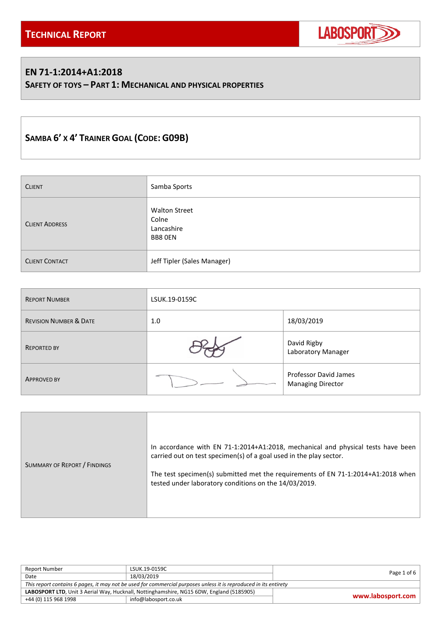

### **EN 71-1:2014+A1:2018**

**SAFETY OF TOYS – PART 1: MECHANICAL AND PHYSICAL PROPERTIES**

# **SAMBA 6' X 4' TRAINER GOAL (CODE: G09B)**

| <b>CLIENT</b>         | Samba Sports                                           |
|-----------------------|--------------------------------------------------------|
| <b>CLIENT ADDRESS</b> | <b>Walton Street</b><br>Colne<br>Lancashire<br>BB8 OEN |
| <b>CLIENT CONTACT</b> | Jeff Tipler (Sales Manager)                            |

| <b>REPORT NUMBER</b>              | LSUK.19-0159C |                                                   |  |
|-----------------------------------|---------------|---------------------------------------------------|--|
| <b>REVISION NUMBER &amp; DATE</b> | 1.0           | 18/03/2019                                        |  |
| <b>REPORTED BY</b>                |               | David Rigby<br>Laboratory Manager                 |  |
| <b>APPROVED BY</b>                |               | Professor David James<br><b>Managing Director</b> |  |

| SUMMARY OF REPORT / FINDINGS | In accordance with EN 71-1:2014+A1:2018, mechanical and physical tests have been<br>carried out on test specimen(s) of a goal used in the play sector.<br>The test specimen(s) submitted met the requirements of EN 71-1:2014+A1:2018 when<br>tested under laboratory conditions on the 14/03/2019. |
|------------------------------|-----------------------------------------------------------------------------------------------------------------------------------------------------------------------------------------------------------------------------------------------------------------------------------------------------|
|------------------------------|-----------------------------------------------------------------------------------------------------------------------------------------------------------------------------------------------------------------------------------------------------------------------------------------------------|

| Report Number                                                                                                    | LSUK.19-0159C        | Page 1 of 6       |  |
|------------------------------------------------------------------------------------------------------------------|----------------------|-------------------|--|
| Date                                                                                                             | 18/03/2019           |                   |  |
| This report contains 6 pages, it may not be used for commercial purposes unless it is reproduced in its entirety |                      |                   |  |
| LABOSPORT LTD, Unit 3 Aerial Way, Hucknall, Nottinghamshire, NG15 6DW, England (5185905)                         |                      |                   |  |
| +44 (0) 115 968 1998                                                                                             | info@labosport.co.uk | www.labosport.com |  |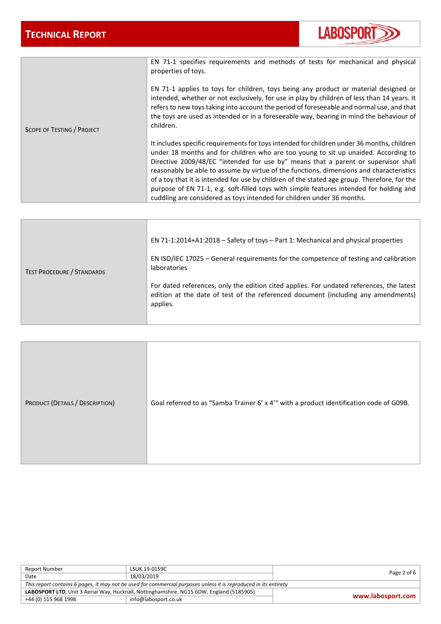

|                            | EN 71-1 specifies requirements and methods of tests for mechanical and physical<br>properties of toys.<br>EN 71-1 applies to toys for children, toys being any product or material designed or<br>intended, whether or not exclusively, for use in play by children of less than 14 years. It<br>refers to new toys taking into account the period of foreseeable and normal use, and that<br>the toys are used as intended or in a foreseeable way, bearing in mind the behaviour of                                                                                                                                                  |
|----------------------------|----------------------------------------------------------------------------------------------------------------------------------------------------------------------------------------------------------------------------------------------------------------------------------------------------------------------------------------------------------------------------------------------------------------------------------------------------------------------------------------------------------------------------------------------------------------------------------------------------------------------------------------|
| SCOPE OF TESTING / PROJECT | children.                                                                                                                                                                                                                                                                                                                                                                                                                                                                                                                                                                                                                              |
|                            | It includes specific requirements for toys intended for children under 36 months, children<br>under 18 months and for children who are too young to sit up unaided. According to<br>Directive 2009/48/EC "intended for use by" means that a parent or supervisor shall<br>reasonably be able to assume by virtue of the functions, dimensions and characteristics<br>of a toy that it is intended for use by children of the stated age group. Therefore, for the<br>purpose of EN 71-1, e.g. soft-filled toys with simple features intended for holding and<br>cuddling are considered as toys intended for children under 36 months. |

|                                   | EN 71-1:2014+A1:2018 - Safety of toys - Part 1: Mechanical and physical properties                                                                                                        |
|-----------------------------------|-------------------------------------------------------------------------------------------------------------------------------------------------------------------------------------------|
| <b>TEST PROCEDURE / STANDARDS</b> | EN ISO/IEC 17025 – General requirements for the competence of testing and calibration<br><b>laboratories</b>                                                                              |
|                                   | For dated references, only the edition cited applies. For undated references, the latest<br>edition at the date of test of the referenced document (including any amendments)<br>applies. |

| PRODUCT (DETAILS / DESCRIPTION) | Goal referred to as "Samba Trainer 6' x 4'" with a product identification code of G09B. |
|---------------------------------|-----------------------------------------------------------------------------------------|
|---------------------------------|-----------------------------------------------------------------------------------------|

| Report Number                                                                                                    | LSUK.19-0159C        | Page 2 of $6$     |  |
|------------------------------------------------------------------------------------------------------------------|----------------------|-------------------|--|
| Date                                                                                                             | 18/03/2019           |                   |  |
| This report contains 6 pages, it may not be used for commercial purposes unless it is reproduced in its entirety |                      |                   |  |
| LABOSPORT LTD, Unit 3 Aerial Way, Hucknall, Nottinghamshire, NG15 6DW, England (5185905)                         |                      | www.labosport.com |  |
| +44 (0) 115 968 1998                                                                                             | info@labosport.co.uk |                   |  |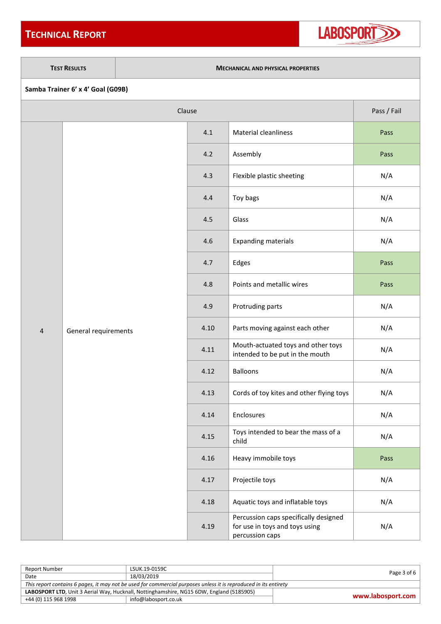## **TECHNICAL REPORT**



#### **TEST RESULTS MECHANICAL AND PHYSICAL PROPERTIES**

| Samba Trainer 6' x 4' Goal (G09B) |  |  |  |  |
|-----------------------------------|--|--|--|--|
|-----------------------------------|--|--|--|--|

| Clause         |                      |      | Pass / Fail                                                                                |      |
|----------------|----------------------|------|--------------------------------------------------------------------------------------------|------|
|                |                      | 4.1  | Material cleanliness                                                                       | Pass |
|                |                      | 4.2  | Assembly                                                                                   | Pass |
|                |                      | 4.3  | Flexible plastic sheeting                                                                  | N/A  |
|                |                      | 4.4  | Toy bags                                                                                   | N/A  |
|                |                      | 4.5  | Glass                                                                                      | N/A  |
|                |                      | 4.6  | <b>Expanding materials</b>                                                                 | N/A  |
|                |                      | 4.7  | Edges                                                                                      | Pass |
|                |                      | 4.8  | Points and metallic wires                                                                  | Pass |
|                |                      | 4.9  | Protruding parts                                                                           | N/A  |
| $\overline{4}$ | General requirements | 4.10 | Parts moving against each other                                                            | N/A  |
|                |                      | 4.11 | Mouth-actuated toys and other toys<br>intended to be put in the mouth                      | N/A  |
|                |                      | 4.12 | <b>Balloons</b>                                                                            | N/A  |
|                |                      | 4.13 | Cords of toy kites and other flying toys                                                   | N/A  |
|                |                      | 4.14 | Enclosures                                                                                 | N/A  |
|                |                      | 4.15 | Toys intended to bear the mass of a<br>child                                               | N/A  |
|                |                      | 4.16 | Heavy immobile toys                                                                        | Pass |
|                |                      | 4.17 | Projectile toys                                                                            | N/A  |
|                |                      | 4.18 | Aquatic toys and inflatable toys                                                           | N/A  |
|                |                      | 4.19 | Percussion caps specifically designed<br>for use in toys and toys using<br>percussion caps | N/A  |

| Report Number                                                                                                    | LSUK.19-0159C        | Page $3$ of $6$   |  |
|------------------------------------------------------------------------------------------------------------------|----------------------|-------------------|--|
| Date                                                                                                             | 18/03/2019           |                   |  |
| This report contains 6 pages, it may not be used for commercial purposes unless it is reproduced in its entirety |                      |                   |  |
| LABOSPORT LTD, Unit 3 Aerial Way, Hucknall, Nottinghamshire, NG15 6DW, England (5185905)                         |                      | www.labosport.com |  |
| +44 (0) 115 968 1998                                                                                             | info@labosport.co.uk |                   |  |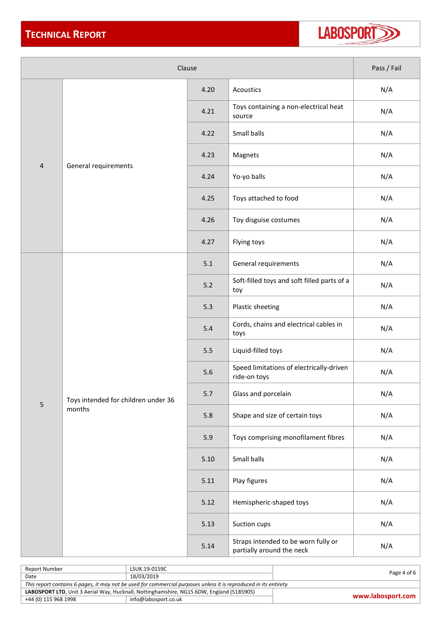

| Clause         |                                               |       |                                                                  | Pass / Fail |
|----------------|-----------------------------------------------|-------|------------------------------------------------------------------|-------------|
|                |                                               | 4.20  | Acoustics                                                        | N/A         |
|                |                                               | 4.21  | Toys containing a non-electrical heat<br>source                  | N/A         |
|                |                                               | 4.22  | Small balls                                                      | N/A         |
|                |                                               | 4.23  | Magnets                                                          | N/A         |
| $\overline{4}$ | General requirements                          | 4.24  | Yo-yo balls                                                      | N/A         |
|                |                                               | 4.25  | Toys attached to food                                            | N/A         |
|                |                                               | 4.26  | Toy disguise costumes                                            | N/A         |
|                |                                               | 4.27  | Flying toys                                                      | N/A         |
|                |                                               | 5.1   | General requirements                                             | N/A         |
|                | Toys intended for children under 36<br>months | $5.2$ | Soft-filled toys and soft filled parts of a<br>toy               | N/A         |
|                |                                               | 5.3   | Plastic sheeting                                                 | N/A         |
|                |                                               | 5.4   | Cords, chains and electrical cables in<br>toys                   | N/A         |
|                |                                               | 5.5   | Liquid-filled toys                                               | N/A         |
|                |                                               | 5.6   | Speed limitations of electrically-driven<br>ride-on toys         | N/A         |
| 5              |                                               | 5.7   | Glass and porcelain                                              | N/A         |
|                |                                               | 5.8   | Shape and size of certain toys                                   | N/A         |
|                |                                               | 5.9   | Toys comprising monofilament fibres                              | N/A         |
|                |                                               | 5.10  | Small balls                                                      | N/A         |
|                |                                               | 5.11  | Play figures                                                     | N/A         |
|                |                                               | 5.12  | Hemispheric-shaped toys                                          | N/A         |
|                |                                               | 5.13  | Suction cups                                                     | N/A         |
|                |                                               | 5.14  | Straps intended to be worn fully or<br>partially around the neck | N/A         |

| Report Number                                                                                                    | LSUK.19-0159C        | Page 4 of 6       |  |
|------------------------------------------------------------------------------------------------------------------|----------------------|-------------------|--|
| Date                                                                                                             | 18/03/2019           |                   |  |
| This report contains 6 pages, it may not be used for commercial purposes unless it is reproduced in its entirety |                      |                   |  |
| LABOSPORT LTD, Unit 3 Aerial Way, Hucknall, Nottinghamshire, NG15 6DW, England (5185905)                         |                      |                   |  |
| +44 (0) 115 968 1998                                                                                             | info@labosport.co.uk | www.labosport.com |  |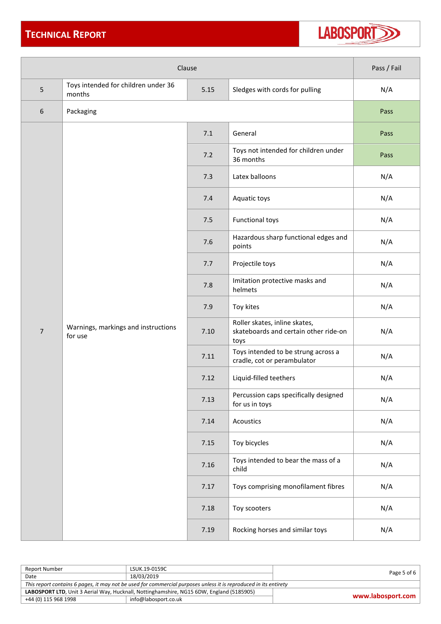## **TECHNICAL REPORT**



| Clause         |                                                                                         | Pass / Fail |                                                                                |      |
|----------------|-----------------------------------------------------------------------------------------|-------------|--------------------------------------------------------------------------------|------|
| 5              | Toys intended for children under 36<br>5.15<br>Sledges with cords for pulling<br>months |             | N/A                                                                            |      |
| 6              | Packaging                                                                               |             |                                                                                | Pass |
|                |                                                                                         | 7.1         | General                                                                        | Pass |
|                |                                                                                         | 7.2         | Toys not intended for children under<br>36 months                              | Pass |
|                |                                                                                         | 7.3         | Latex balloons                                                                 | N/A  |
|                |                                                                                         | 7.4         | Aquatic toys                                                                   | N/A  |
|                |                                                                                         | 7.5         | <b>Functional toys</b>                                                         | N/A  |
|                |                                                                                         | 7.6         | Hazardous sharp functional edges and<br>points                                 | N/A  |
|                |                                                                                         | 7.7         | Projectile toys                                                                | N/A  |
|                |                                                                                         | 7.8         | Imitation protective masks and<br>helmets                                      | N/A  |
|                |                                                                                         | 7.9         | Toy kites                                                                      | N/A  |
| $\overline{7}$ | Warnings, markings and instructions<br>for use                                          | 7.10        | Roller skates, inline skates,<br>skateboards and certain other ride-on<br>toys | N/A  |
|                |                                                                                         | 7.11        | Toys intended to be strung across a<br>cradle, cot or perambulator             | N/A  |
|                |                                                                                         | 7.12        | Liquid-filled teethers                                                         | N/A  |
|                |                                                                                         | 7.13        | Percussion caps specifically designed<br>for us in toys                        | N/A  |
|                |                                                                                         | 7.14        | Acoustics                                                                      | N/A  |
|                |                                                                                         | 7.15        | Toy bicycles                                                                   | N/A  |
|                |                                                                                         | 7.16        | Toys intended to bear the mass of a<br>child                                   | N/A  |
|                |                                                                                         | 7.17        | Toys comprising monofilament fibres                                            | N/A  |
|                |                                                                                         | 7.18        | Toy scooters                                                                   | N/A  |
|                |                                                                                         | 7.19        | Rocking horses and similar toys                                                | N/A  |

| Report Number                                                                                                    | LSUK.19-0159C        | Page 5 of 6 $\vert$ |  |
|------------------------------------------------------------------------------------------------------------------|----------------------|---------------------|--|
| Date                                                                                                             | 18/03/2019           |                     |  |
| This report contains 6 pages, it may not be used for commercial purposes unless it is reproduced in its entirety |                      |                     |  |
| LABOSPORT LTD, Unit 3 Aerial Way, Hucknall, Nottinghamshire, NG15 6DW, England (5185905)                         |                      | www.labosport.com   |  |
| +44 (0) 115 968 1998                                                                                             | info@labosport.co.uk |                     |  |